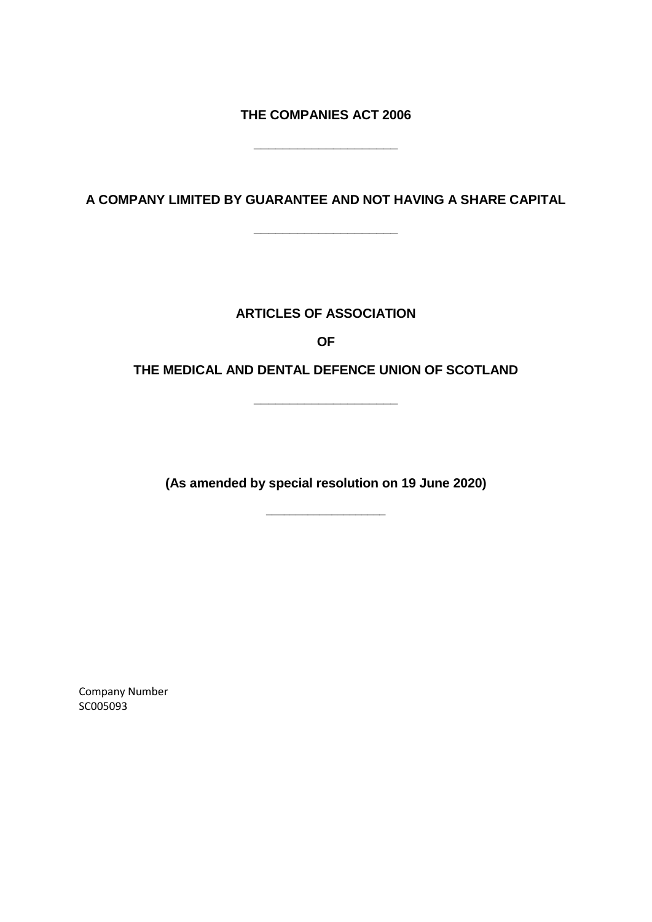**THE COMPANIES ACT 2006**

**\_\_\_\_\_\_\_\_\_\_\_\_\_\_\_\_\_\_\_\_**

**A COMPANY LIMITED BY GUARANTEE AND NOT HAVING A SHARE CAPITAL**

**\_\_\_\_\_\_\_\_\_\_\_\_\_\_\_\_\_\_\_\_**

# **ARTICLES OF ASSOCIATION**

**OF**

**THE MEDICAL AND DENTAL DEFENCE UNION OF SCOTLAND**

**\_\_\_\_\_\_\_\_\_\_\_\_\_\_\_\_\_\_\_\_**

**(As amended by special resolution on 19 June 2020)**

**\_\_\_\_\_\_\_\_\_\_\_\_\_\_\_\_\_\_\_\_**

Company Number SC005093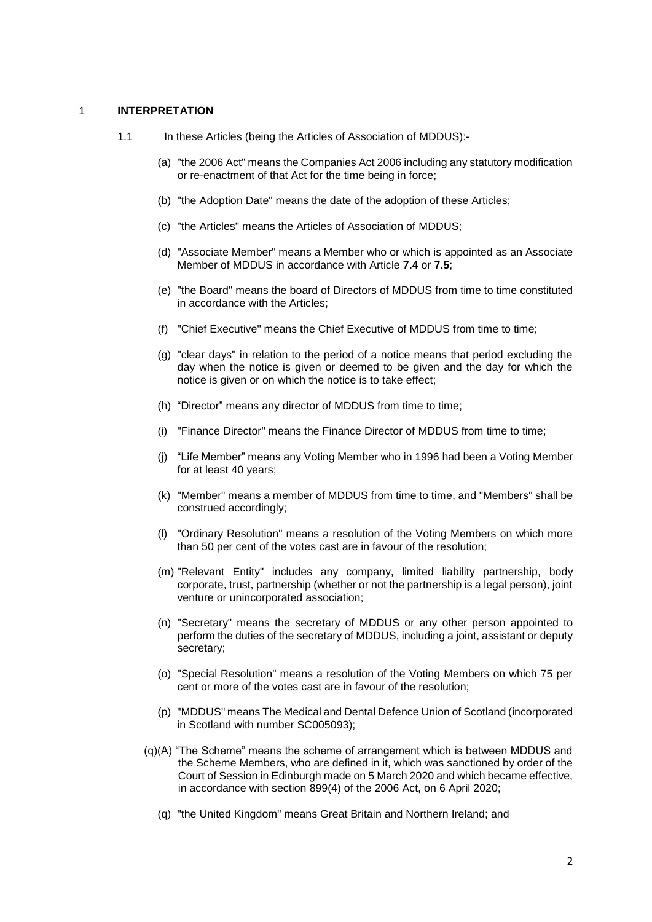#### 1 **INTERPRETATION**

- 1.1 In these Articles (being the Articles of Association of MDDUS):-
	- (a) "the 2006 Act" means the Companies Act 2006 including any statutory modification or re-enactment of that Act for the time being in force;
	- (b) "the Adoption Date" means the date of the adoption of these Articles;
	- (c) "the Articles" means the Articles of Association of MDDUS;
	- (d) "Associate Member" means a Member who or which is appointed as an Associate Member of MDDUS in accordance with Article **[7.4](#page-5-0)** or **[7.5](#page-6-0)**;
	- (e) "the Board" means the board of Directors of MDDUS from time to time constituted in accordance with the Articles;
	- (f) "Chief Executive" means the Chief Executive of MDDUS from time to time;
	- (g) "clear days" in relation to the period of a notice means that period excluding the day when the notice is given or deemed to be given and the day for which the notice is given or on which the notice is to take effect;
	- (h) "Director" means any director of MDDUS from time to time;
	- (i) "Finance Director" means the Finance Director of MDDUS from time to time;
	- (j) "Life Member" means any Voting Member who in 1996 had been a Voting Member for at least 40 years;
	- (k) "Member" means a member of MDDUS from time to time, and "Members" shall be construed accordingly;
	- (l) "Ordinary Resolution" means a resolution of the Voting Members on which more than 50 per cent of the votes cast are in favour of the resolution;
	- (m) "Relevant Entity" includes any company, limited liability partnership, body corporate, trust, partnership (whether or not the partnership is a legal person), joint venture or unincorporated association;
	- (n) "Secretary" means the secretary of MDDUS or any other person appointed to perform the duties of the secretary of MDDUS, including a joint, assistant or deputy secretary;
	- (o) "Special Resolution" means a resolution of the Voting Members on which 75 per cent or more of the votes cast are in favour of the resolution;
	- (p) "MDDUS" means The Medical and Dental Defence Union of Scotland (incorporated in Scotland with number SC005093);
	- (q)(A) "The Scheme" means the scheme of arrangement which is between MDDUS and the Scheme Members, who are defined in it, which was sanctioned by order of the Court of Session in Edinburgh made on 5 March 2020 and which became effective, in accordance with section 899(4) of the 2006 Act, on 6 April 2020;
		- (q) "the United Kingdom" means Great Britain and Northern Ireland; and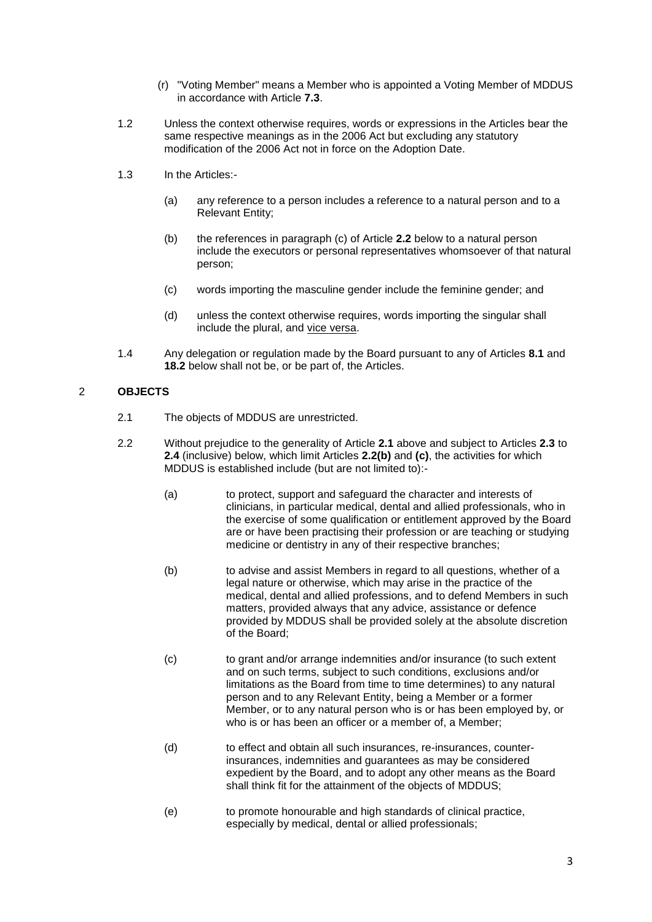- (r) "Voting Member" means a Member who is appointed a Voting Member of MDDUS in accordance with Article **[7.3](#page-5-1)**.
- 1.2 Unless the context otherwise requires, words or expressions in the Articles bear the same respective meanings as in the 2006 Act but excluding any statutory modification of the 2006 Act not in force on the Adoption Date.
- 1.3 In the Articles:-
	- (a) any reference to a person includes a reference to a natural person and to a Relevant Entity;
	- (b) the references in paragraph (c) of Article **2.2** below to a natural person include the executors or personal representatives whomsoever of that natural person;
	- (c) words importing the masculine gender include the feminine gender; and
	- (d) unless the context otherwise requires, words importing the singular shall include the plural, and vice versa.
- 1.4 Any delegation or regulation made by the Board pursuant to any of Articles **8.1** and **18.2** below shall not be, or be part of, the Articles.

# 2 **OBJECTS**

- 2.1 The objects of MDDUS are unrestricted.
- 2.2 Without prejudice to the generality of Article **2.1** above and subject to Articles **2.3** to **2.4** (inclusive) below, which limit Articles **2.2(b)** and **(c)**, the activities for which MDDUS is established include (but are not limited to):-
	- (a) to protect, support and safeguard the character and interests of clinicians, in particular medical, dental and allied professionals, who in the exercise of some qualification or entitlement approved by the Board are or have been practising their profession or are teaching or studying medicine or dentistry in any of their respective branches;
	- (b) to advise and assist Members in regard to all questions, whether of a legal nature or otherwise, which may arise in the practice of the medical, dental and allied professions, and to defend Members in such matters, provided always that any advice, assistance or defence provided by MDDUS shall be provided solely at the absolute discretion of the Board;
	- (c) to grant and/or arrange indemnities and/or insurance (to such extent and on such terms, subject to such conditions, exclusions and/or limitations as the Board from time to time determines) to any natural person and to any Relevant Entity, being a Member or a former Member, or to any natural person who is or has been employed by, or who is or has been an officer or a member of, a Member;
	- (d) to effect and obtain all such insurances, re-insurances, counterinsurances, indemnities and guarantees as may be considered expedient by the Board, and to adopt any other means as the Board shall think fit for the attainment of the objects of MDDUS;
	- (e) to promote honourable and high standards of clinical practice, especially by medical, dental or allied professionals;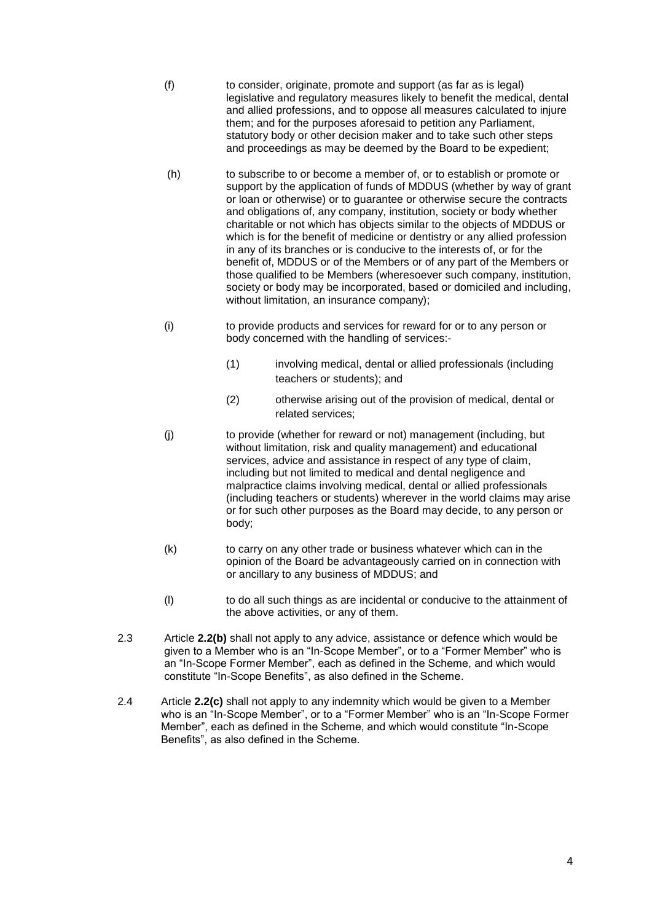- (f) to consider, originate, promote and support (as far as is legal) legislative and regulatory measures likely to benefit the medical, dental and allied professions, and to oppose all measures calculated to injure them; and for the purposes aforesaid to petition any Parliament, statutory body or other decision maker and to take such other steps and proceedings as may be deemed by the Board to be expedient;
- (h) to subscribe to or become a member of, or to establish or promote or support by the application of funds of MDDUS (whether by way of grant or loan or otherwise) or to guarantee or otherwise secure the contracts and obligations of, any company, institution, society or body whether charitable or not which has objects similar to the objects of MDDUS or which is for the benefit of medicine or dentistry or any allied profession in any of its branches or is conducive to the interests of, or for the benefit of, MDDUS or of the Members or of any part of the Members or those qualified to be Members (wheresoever such company, institution, society or body may be incorporated, based or domiciled and including, without limitation, an insurance company);
- (i) to provide products and services for reward for or to any person or body concerned with the handling of services:-
	- (1) involving medical, dental or allied professionals (including teachers or students); and
	- (2) otherwise arising out of the provision of medical, dental or related services;
- (j) to provide (whether for reward or not) management (including, but without limitation, risk and quality management) and educational services, advice and assistance in respect of any type of claim, including but not limited to medical and dental negligence and malpractice claims involving medical, dental or allied professionals (including teachers or students) wherever in the world claims may arise or for such other purposes as the Board may decide, to any person or body;
- (k) to carry on any other trade or business whatever which can in the opinion of the Board be advantageously carried on in connection with or ancillary to any business of MDDUS; and
- (l) to do all such things as are incidental or conducive to the attainment of the above activities, or any of them.
- 2.3 Article **2.2(b)** shall not apply to any advice, assistance or defence which would be given to a Member who is an "In-Scope Member", or to a "Former Member" who is an "In-Scope Former Member", each as defined in the Scheme, and which would constitute "In-Scope Benefits", as also defined in the Scheme.
- 2.4 Article **2.2(c)** shall not apply to any indemnity which would be given to a Member who is an "In-Scope Member", or to a "Former Member" who is an "In-Scope Former Member", each as defined in the Scheme, and which would constitute "In-Scope Benefits", as also defined in the Scheme.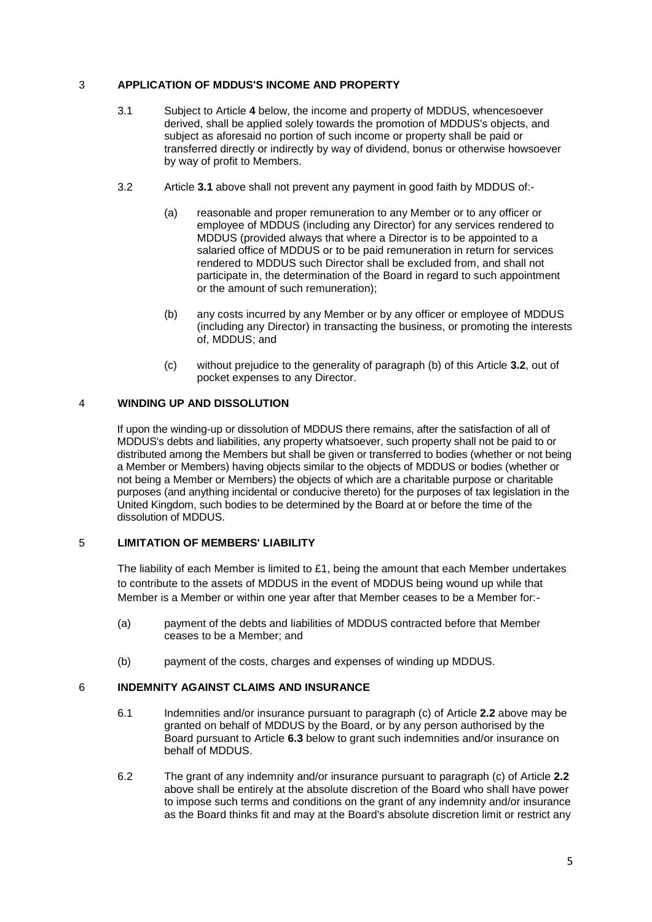# 3 **APPLICATION OF MDDUS'S INCOME AND PROPERTY**

- 3.1 Subject to Article **4** below, the income and property of MDDUS, whencesoever derived, shall be applied solely towards the promotion of MDDUS's objects, and subject as aforesaid no portion of such income or property shall be paid or transferred directly or indirectly by way of dividend, bonus or otherwise howsoever by way of profit to Members.
- 3.2 Article **3.1** above shall not prevent any payment in good faith by MDDUS of:-
	- (a) reasonable and proper remuneration to any Member or to any officer or employee of MDDUS (including any Director) for any services rendered to MDDUS (provided always that where a Director is to be appointed to a salaried office of MDDUS or to be paid remuneration in return for services rendered to MDDUS such Director shall be excluded from, and shall not participate in, the determination of the Board in regard to such appointment or the amount of such remuneration);
	- (b) any costs incurred by any Member or by any officer or employee of MDDUS (including any Director) in transacting the business, or promoting the interests of, MDDUS; and
	- (c) without prejudice to the generality of paragraph (b) of this Article **3.2**, out of pocket expenses to any Director.

# 4 **WINDING UP AND DISSOLUTION**

If upon the winding-up or dissolution of MDDUS there remains, after the satisfaction of all of MDDUS's debts and liabilities, any property whatsoever, such property shall not be paid to or distributed among the Members but shall be given or transferred to bodies (whether or not being a Member or Members) having objects similar to the objects of MDDUS or bodies (whether or not being a Member or Members) the objects of which are a charitable purpose or charitable purposes (and anything incidental or conducive thereto) for the purposes of tax legislation in the United Kingdom, such bodies to be determined by the Board at or before the time of the dissolution of MDDUS.

# 5 **LIMITATION OF MEMBERS' LIABILITY**

The liability of each Member is limited to £1, being the amount that each Member undertakes to contribute to the assets of MDDUS in the event of MDDUS being wound up while that Member is a Member or within one year after that Member ceases to be a Member for:-

- (a) payment of the debts and liabilities of MDDUS contracted before that Member ceases to be a Member; and
- (b) payment of the costs, charges and expenses of winding up MDDUS.

# 6 **INDEMNITY AGAINST CLAIMS AND INSURANCE**

- 6.1 Indemnities and/or insurance pursuant to paragraph (c) of Article **2.2** above may be granted on behalf of MDDUS by the Board, or by any person authorised by the Board pursuant to Article **6.3** below to grant such indemnities and/or insurance on behalf of MDDUS.
- 6.2 The grant of any indemnity and/or insurance pursuant to paragraph (c) of Article **2.2** above shall be entirely at the absolute discretion of the Board who shall have power to impose such terms and conditions on the grant of any indemnity and/or insurance as the Board thinks fit and may at the Board's absolute discretion limit or restrict any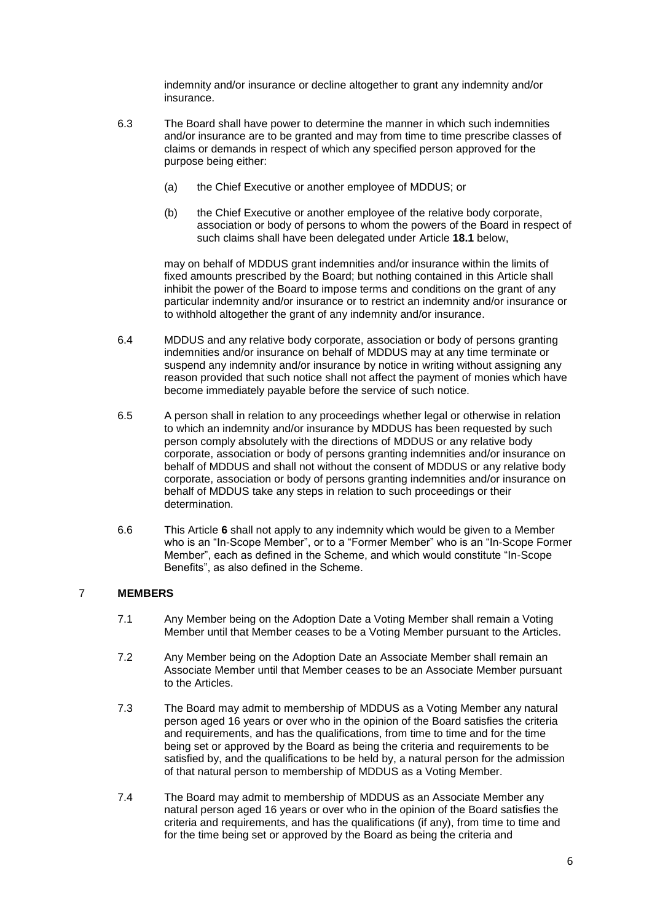indemnity and/or insurance or decline altogether to grant any indemnity and/or insurance.

- 6.3 The Board shall have power to determine the manner in which such indemnities and/or insurance are to be granted and may from time to time prescribe classes of claims or demands in respect of which any specified person approved for the purpose being either:
	- (a) the Chief Executive or another employee of MDDUS; or
	- (b) the Chief Executive or another employee of the relative body corporate, association or body of persons to whom the powers of the Board in respect of such claims shall have been delegated under Article **18.1** below,

may on behalf of MDDUS grant indemnities and/or insurance within the limits of fixed amounts prescribed by the Board; but nothing contained in this Article shall inhibit the power of the Board to impose terms and conditions on the grant of any particular indemnity and/or insurance or to restrict an indemnity and/or insurance or to withhold altogether the grant of any indemnity and/or insurance.

- 6.4 MDDUS and any relative body corporate, association or body of persons granting indemnities and/or insurance on behalf of MDDUS may at any time terminate or suspend any indemnity and/or insurance by notice in writing without assigning any reason provided that such notice shall not affect the payment of monies which have become immediately payable before the service of such notice.
- 6.5 A person shall in relation to any proceedings whether legal or otherwise in relation to which an indemnity and/or insurance by MDDUS has been requested by such person comply absolutely with the directions of MDDUS or any relative body corporate, association or body of persons granting indemnities and/or insurance on behalf of MDDUS and shall not without the consent of MDDUS or any relative body corporate, association or body of persons granting indemnities and/or insurance on behalf of MDDUS take any steps in relation to such proceedings or their determination.
- 6.6 This Article **6** shall not apply to any indemnity which would be given to a Member who is an "In-Scope Member", or to a "Former Member" who is an "In-Scope Former Member", each as defined in the Scheme, and which would constitute "In-Scope Benefits", as also defined in the Scheme.

# 7 **MEMBERS**

- 7.1 Any Member being on the Adoption Date a Voting Member shall remain a Voting Member until that Member ceases to be a Voting Member pursuant to the Articles.
- 7.2 Any Member being on the Adoption Date an Associate Member shall remain an Associate Member until that Member ceases to be an Associate Member pursuant to the Articles.
- <span id="page-5-1"></span>7.3 The Board may admit to membership of MDDUS as a Voting Member any natural person aged 16 years or over who in the opinion of the Board satisfies the criteria and requirements, and has the qualifications, from time to time and for the time being set or approved by the Board as being the criteria and requirements to be satisfied by, and the qualifications to be held by, a natural person for the admission of that natural person to membership of MDDUS as a Voting Member.
- <span id="page-5-0"></span>7.4 The Board may admit to membership of MDDUS as an Associate Member any natural person aged 16 years or over who in the opinion of the Board satisfies the criteria and requirements, and has the qualifications (if any), from time to time and for the time being set or approved by the Board as being the criteria and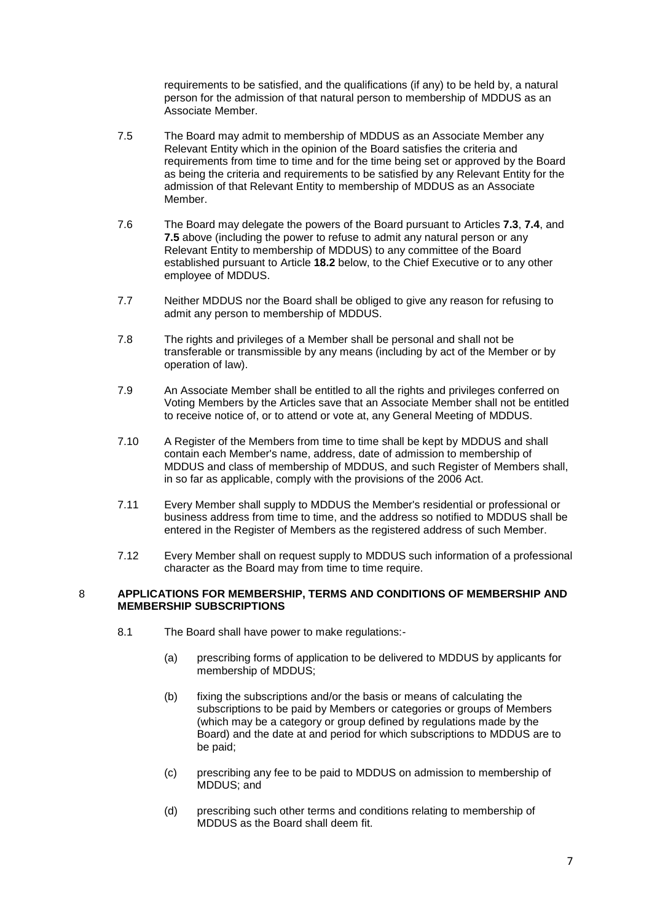requirements to be satisfied, and the qualifications (if any) to be held by, a natural person for the admission of that natural person to membership of MDDUS as an Associate Member.

- <span id="page-6-0"></span>7.5 The Board may admit to membership of MDDUS as an Associate Member any Relevant Entity which in the opinion of the Board satisfies the criteria and requirements from time to time and for the time being set or approved by the Board as being the criteria and requirements to be satisfied by any Relevant Entity for the admission of that Relevant Entity to membership of MDDUS as an Associate Member.
- 7.6 The Board may delegate the powers of the Board pursuant to Articles **7.3**, **7.4**, and **7.5** above (including the power to refuse to admit any natural person or any Relevant Entity to membership of MDDUS) to any committee of the Board established pursuant to Article **18.2** below, to the Chief Executive or to any other employee of MDDUS.
- 7.7 Neither MDDUS nor the Board shall be obliged to give any reason for refusing to admit any person to membership of MDDUS.
- 7.8 The rights and privileges of a Member shall be personal and shall not be transferable or transmissible by any means (including by act of the Member or by operation of law).
- 7.9 An Associate Member shall be entitled to all the rights and privileges conferred on Voting Members by the Articles save that an Associate Member shall not be entitled to receive notice of, or to attend or vote at, any General Meeting of MDDUS.
- 7.10 A Register of the Members from time to time shall be kept by MDDUS and shall contain each Member's name, address, date of admission to membership of MDDUS and class of membership of MDDUS, and such Register of Members shall, in so far as applicable, comply with the provisions of the 2006 Act.
- 7.11 Every Member shall supply to MDDUS the Member's residential or professional or business address from time to time, and the address so notified to MDDUS shall be entered in the Register of Members as the registered address of such Member.
- 7.12 Every Member shall on request supply to MDDUS such information of a professional character as the Board may from time to time require.

#### 8 **APPLICATIONS FOR MEMBERSHIP, TERMS AND CONDITIONS OF MEMBERSHIP AND MEMBERSHIP SUBSCRIPTIONS**

- 8.1 The Board shall have power to make regulations:-
	- (a) prescribing forms of application to be delivered to MDDUS by applicants for membership of MDDUS;
	- (b) fixing the subscriptions and/or the basis or means of calculating the subscriptions to be paid by Members or categories or groups of Members (which may be a category or group defined by regulations made by the Board) and the date at and period for which subscriptions to MDDUS are to be paid;
	- (c) prescribing any fee to be paid to MDDUS on admission to membership of MDDUS; and
	- (d) prescribing such other terms and conditions relating to membership of MDDUS as the Board shall deem fit.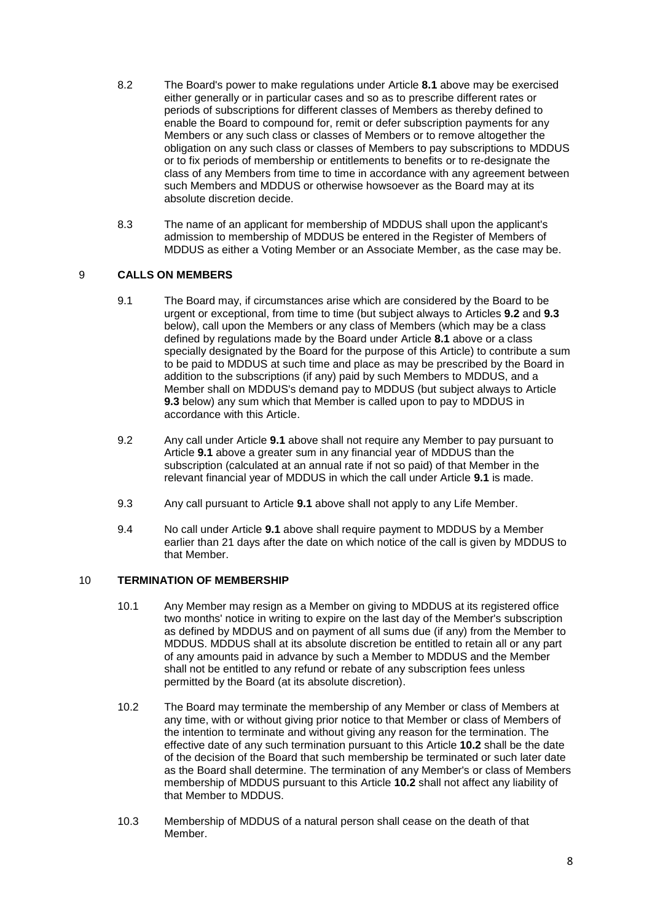- 8.2 The Board's power to make regulations under Article **8.1** above may be exercised either generally or in particular cases and so as to prescribe different rates or periods of subscriptions for different classes of Members as thereby defined to enable the Board to compound for, remit or defer subscription payments for any Members or any such class or classes of Members or to remove altogether the obligation on any such class or classes of Members to pay subscriptions to MDDUS or to fix periods of membership or entitlements to benefits or to re-designate the class of any Members from time to time in accordance with any agreement between such Members and MDDUS or otherwise howsoever as the Board may at its absolute discretion decide.
- 8.3 The name of an applicant for membership of MDDUS shall upon the applicant's admission to membership of MDDUS be entered in the Register of Members of MDDUS as either a Voting Member or an Associate Member, as the case may be.

# 9 **CALLS ON MEMBERS**

- 9.1 The Board may, if circumstances arise which are considered by the Board to be urgent or exceptional, from time to time (but subject always to Articles **9.2** and **9.3** below), call upon the Members or any class of Members (which may be a class defined by regulations made by the Board under Article **8.1** above or a class specially designated by the Board for the purpose of this Article) to contribute a sum to be paid to MDDUS at such time and place as may be prescribed by the Board in addition to the subscriptions (if any) paid by such Members to MDDUS, and a Member shall on MDDUS's demand pay to MDDUS (but subject always to Article **9.3** below) any sum which that Member is called upon to pay to MDDUS in accordance with this Article.
- 9.2 Any call under Article **9.1** above shall not require any Member to pay pursuant to Article **9.1** above a greater sum in any financial year of MDDUS than the subscription (calculated at an annual rate if not so paid) of that Member in the relevant financial year of MDDUS in which the call under Article **9.1** is made.
- 9.3 Any call pursuant to Article **9.1** above shall not apply to any Life Member.
- 9.4 No call under Article **9.1** above shall require payment to MDDUS by a Member earlier than 21 days after the date on which notice of the call is given by MDDUS to that Member.

# 10 **TERMINATION OF MEMBERSHIP**

- 10.1 Any Member may resign as a Member on giving to MDDUS at its registered office two months' notice in writing to expire on the last day of the Member's subscription as defined by MDDUS and on payment of all sums due (if any) from the Member to MDDUS. MDDUS shall at its absolute discretion be entitled to retain all or any part of any amounts paid in advance by such a Member to MDDUS and the Member shall not be entitled to any refund or rebate of any subscription fees unless permitted by the Board (at its absolute discretion).
- 10.2 The Board may terminate the membership of any Member or class of Members at any time, with or without giving prior notice to that Member or class of Members of the intention to terminate and without giving any reason for the termination. The effective date of any such termination pursuant to this Article **10.2** shall be the date of the decision of the Board that such membership be terminated or such later date as the Board shall determine. The termination of any Member's or class of Members membership of MDDUS pursuant to this Article **10.2** shall not affect any liability of that Member to MDDUS.
- 10.3 Membership of MDDUS of a natural person shall cease on the death of that Member.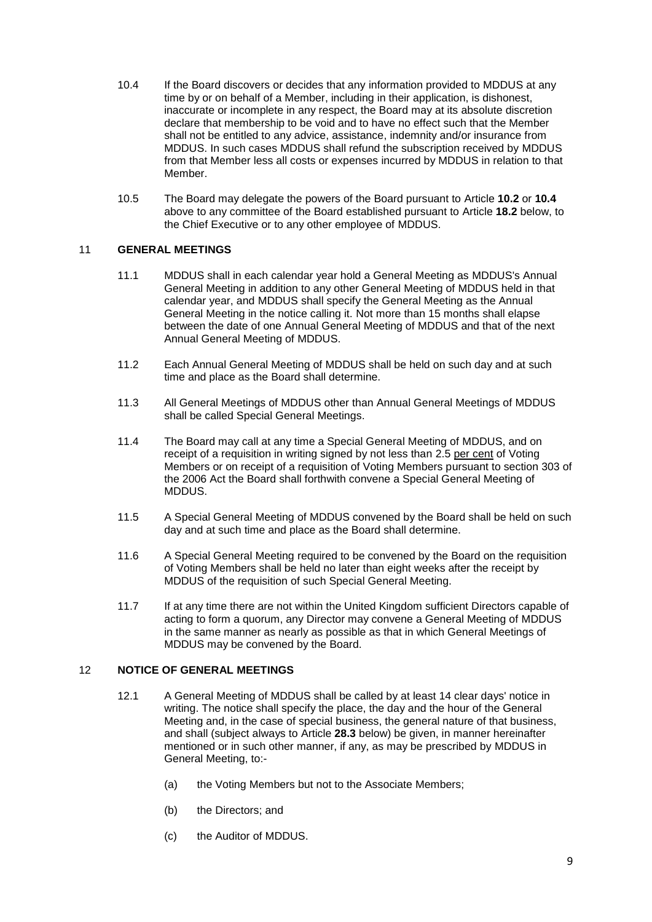- 10.4 If the Board discovers or decides that any information provided to MDDUS at any time by or on behalf of a Member, including in their application, is dishonest, inaccurate or incomplete in any respect, the Board may at its absolute discretion declare that membership to be void and to have no effect such that the Member shall not be entitled to any advice, assistance, indemnity and/or insurance from MDDUS. In such cases MDDUS shall refund the subscription received by MDDUS from that Member less all costs or expenses incurred by MDDUS in relation to that Member.
- 10.5 The Board may delegate the powers of the Board pursuant to Article **10.2** or **10.4** above to any committee of the Board established pursuant to Article **18.2** below, to the Chief Executive or to any other employee of MDDUS.

# 11 **GENERAL MEETINGS**

- 11.1 MDDUS shall in each calendar year hold a General Meeting as MDDUS's Annual General Meeting in addition to any other General Meeting of MDDUS held in that calendar year, and MDDUS shall specify the General Meeting as the Annual General Meeting in the notice calling it. Not more than 15 months shall elapse between the date of one Annual General Meeting of MDDUS and that of the next Annual General Meeting of MDDUS.
- 11.2 Each Annual General Meeting of MDDUS shall be held on such day and at such time and place as the Board shall determine.
- 11.3 All General Meetings of MDDUS other than Annual General Meetings of MDDUS shall be called Special General Meetings.
- 11.4 The Board may call at any time a Special General Meeting of MDDUS, and on receipt of a requisition in writing signed by not less than 2.5 per cent of Voting Members or on receipt of a requisition of Voting Members pursuant to section 303 of the 2006 Act the Board shall forthwith convene a Special General Meeting of MDDUS.
- 11.5 A Special General Meeting of MDDUS convened by the Board shall be held on such day and at such time and place as the Board shall determine.
- 11.6 A Special General Meeting required to be convened by the Board on the requisition of Voting Members shall be held no later than eight weeks after the receipt by MDDUS of the requisition of such Special General Meeting.
- 11.7 If at any time there are not within the United Kingdom sufficient Directors capable of acting to form a quorum, any Director may convene a General Meeting of MDDUS in the same manner as nearly as possible as that in which General Meetings of MDDUS may be convened by the Board.

## 12 **NOTICE OF GENERAL MEETINGS**

- 12.1 A General Meeting of MDDUS shall be called by at least 14 clear days' notice in writing. The notice shall specify the place, the day and the hour of the General Meeting and, in the case of special business, the general nature of that business, and shall (subject always to Article **28.3** below) be given, in manner hereinafter mentioned or in such other manner, if any, as may be prescribed by MDDUS in General Meeting, to:-
	- (a) the Voting Members but not to the Associate Members;
	- (b) the Directors; and
	- (c) the Auditor of MDDUS.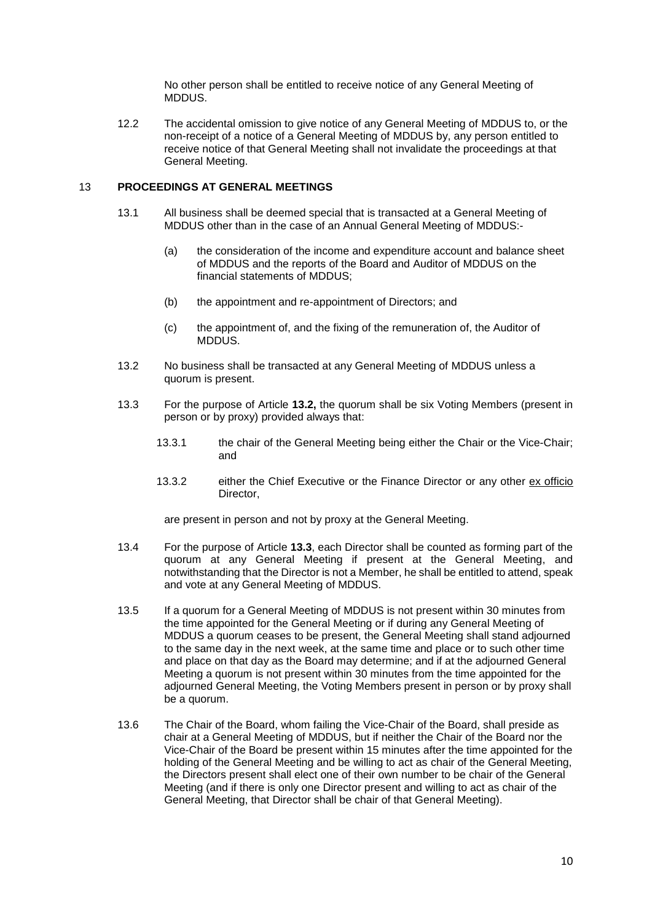No other person shall be entitled to receive notice of any General Meeting of MDDUS.

12.2 The accidental omission to give notice of any General Meeting of MDDUS to, or the non-receipt of a notice of a General Meeting of MDDUS by, any person entitled to receive notice of that General Meeting shall not invalidate the proceedings at that General Meeting.

# 13 **PROCEEDINGS AT GENERAL MEETINGS**

- 13.1 All business shall be deemed special that is transacted at a General Meeting of MDDUS other than in the case of an Annual General Meeting of MDDUS:-
	- (a) the consideration of the income and expenditure account and balance sheet of MDDUS and the reports of the Board and Auditor of MDDUS on the financial statements of MDDUS;
	- (b) the appointment and re-appointment of Directors; and
	- (c) the appointment of, and the fixing of the remuneration of, the Auditor of MDDUS.
- 13.2 No business shall be transacted at any General Meeting of MDDUS unless a quorum is present.
- <span id="page-9-0"></span>13.3 For the purpose of Article **13.2,** the quorum shall be six Voting Members (present in person or by proxy) provided always that:
	- 13.3.1 the chair of the General Meeting being either the Chair or the Vice-Chair; and
	- 13.3.2 either the Chief Executive or the Finance Director or any other ex officio Director,

are present in person and not by proxy at the General Meeting.

- 13.4 For the purpose of Article **[13.3](#page-9-0)**, each Director shall be counted as forming part of the quorum at any General Meeting if present at the General Meeting, and notwithstanding that the Director is not a Member, he shall be entitled to attend, speak and vote at any General Meeting of MDDUS.
- 13.5 If a quorum for a General Meeting of MDDUS is not present within 30 minutes from the time appointed for the General Meeting or if during any General Meeting of MDDUS a quorum ceases to be present, the General Meeting shall stand adjourned to the same day in the next week, at the same time and place or to such other time and place on that day as the Board may determine; and if at the adjourned General Meeting a quorum is not present within 30 minutes from the time appointed for the adjourned General Meeting, the Voting Members present in person or by proxy shall be a quorum.
- 13.6 The Chair of the Board, whom failing the Vice-Chair of the Board, shall preside as chair at a General Meeting of MDDUS, but if neither the Chair of the Board nor the Vice-Chair of the Board be present within 15 minutes after the time appointed for the holding of the General Meeting and be willing to act as chair of the General Meeting, the Directors present shall elect one of their own number to be chair of the General Meeting (and if there is only one Director present and willing to act as chair of the General Meeting, that Director shall be chair of that General Meeting).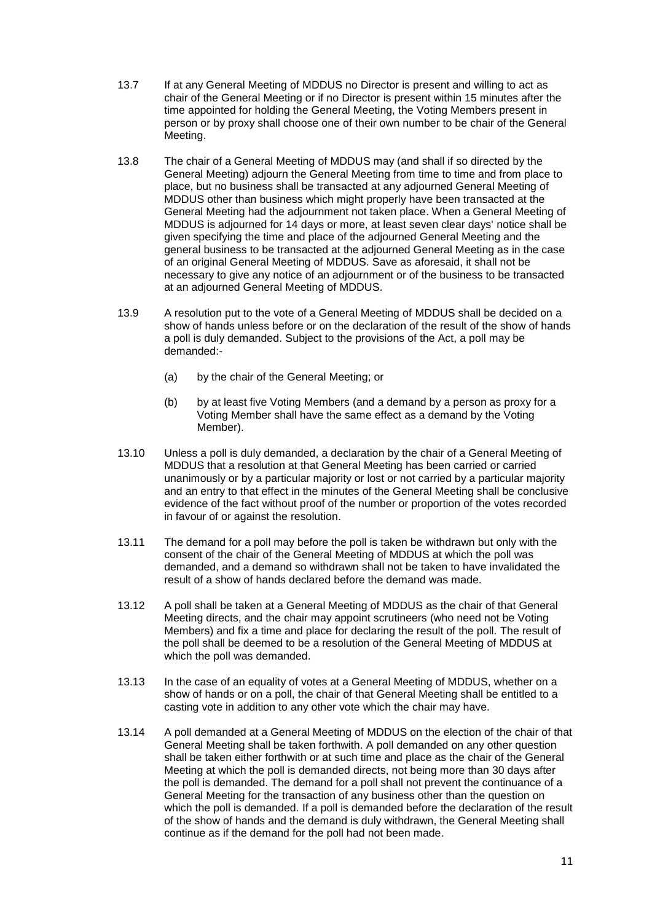- 13.7 If at any General Meeting of MDDUS no Director is present and willing to act as chair of the General Meeting or if no Director is present within 15 minutes after the time appointed for holding the General Meeting, the Voting Members present in person or by proxy shall choose one of their own number to be chair of the General Meeting.
- 13.8 The chair of a General Meeting of MDDUS may (and shall if so directed by the General Meeting) adjourn the General Meeting from time to time and from place to place, but no business shall be transacted at any adjourned General Meeting of MDDUS other than business which might properly have been transacted at the General Meeting had the adjournment not taken place. When a General Meeting of MDDUS is adjourned for 14 days or more, at least seven clear days' notice shall be given specifying the time and place of the adjourned General Meeting and the general business to be transacted at the adjourned General Meeting as in the case of an original General Meeting of MDDUS. Save as aforesaid, it shall not be necessary to give any notice of an adjournment or of the business to be transacted at an adjourned General Meeting of MDDUS.
- 13.9 A resolution put to the vote of a General Meeting of MDDUS shall be decided on a show of hands unless before or on the declaration of the result of the show of hands a poll is duly demanded. Subject to the provisions of the Act, a poll may be demanded:-
	- (a) by the chair of the General Meeting; or
	- (b) by at least five Voting Members (and a demand by a person as proxy for a Voting Member shall have the same effect as a demand by the Voting Member).
- 13.10 Unless a poll is duly demanded, a declaration by the chair of a General Meeting of MDDUS that a resolution at that General Meeting has been carried or carried unanimously or by a particular majority or lost or not carried by a particular majority and an entry to that effect in the minutes of the General Meeting shall be conclusive evidence of the fact without proof of the number or proportion of the votes recorded in favour of or against the resolution.
- 13.11 The demand for a poll may before the poll is taken be withdrawn but only with the consent of the chair of the General Meeting of MDDUS at which the poll was demanded, and a demand so withdrawn shall not be taken to have invalidated the result of a show of hands declared before the demand was made.
- 13.12 A poll shall be taken at a General Meeting of MDDUS as the chair of that General Meeting directs, and the chair may appoint scrutineers (who need not be Voting Members) and fix a time and place for declaring the result of the poll. The result of the poll shall be deemed to be a resolution of the General Meeting of MDDUS at which the poll was demanded.
- 13.13 In the case of an equality of votes at a General Meeting of MDDUS, whether on a show of hands or on a poll, the chair of that General Meeting shall be entitled to a casting vote in addition to any other vote which the chair may have.
- 13.14 A poll demanded at a General Meeting of MDDUS on the election of the chair of that General Meeting shall be taken forthwith. A poll demanded on any other question shall be taken either forthwith or at such time and place as the chair of the General Meeting at which the poll is demanded directs, not being more than 30 days after the poll is demanded. The demand for a poll shall not prevent the continuance of a General Meeting for the transaction of any business other than the question on which the poll is demanded. If a poll is demanded before the declaration of the result of the show of hands and the demand is duly withdrawn, the General Meeting shall continue as if the demand for the poll had not been made.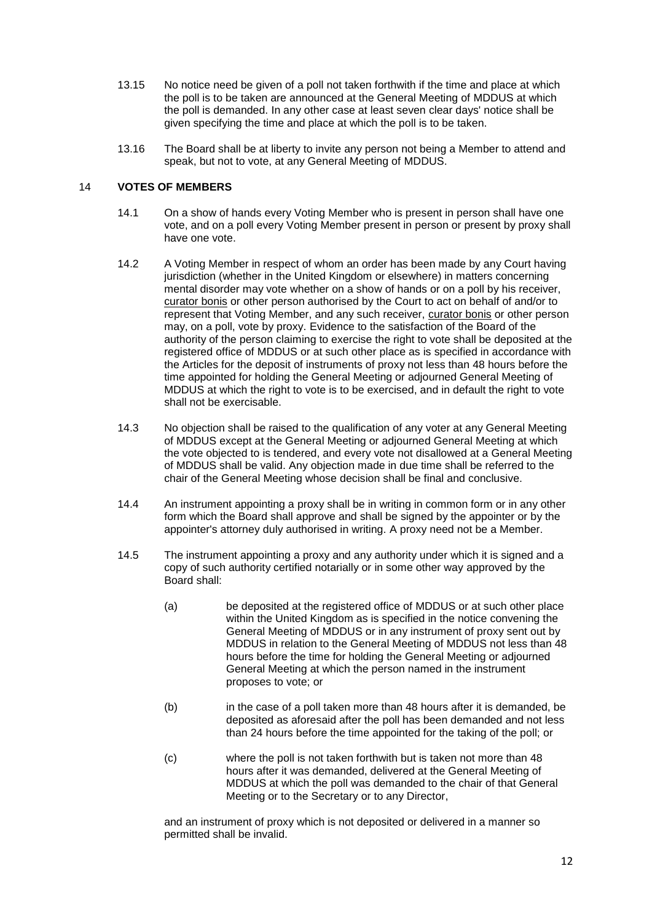- 13.15 No notice need be given of a poll not taken forthwith if the time and place at which the poll is to be taken are announced at the General Meeting of MDDUS at which the poll is demanded. In any other case at least seven clear days' notice shall be given specifying the time and place at which the poll is to be taken.
- 13.16 The Board shall be at liberty to invite any person not being a Member to attend and speak, but not to vote, at any General Meeting of MDDUS.

# 14 **VOTES OF MEMBERS**

- 14.1 On a show of hands every Voting Member who is present in person shall have one vote, and on a poll every Voting Member present in person or present by proxy shall have one vote.
- 14.2 A Voting Member in respect of whom an order has been made by any Court having jurisdiction (whether in the United Kingdom or elsewhere) in matters concerning mental disorder may vote whether on a show of hands or on a poll by his receiver, curator bonis or other person authorised by the Court to act on behalf of and/or to represent that Voting Member, and any such receiver, curator bonis or other person may, on a poll, vote by proxy. Evidence to the satisfaction of the Board of the authority of the person claiming to exercise the right to vote shall be deposited at the registered office of MDDUS or at such other place as is specified in accordance with the Articles for the deposit of instruments of proxy not less than 48 hours before the time appointed for holding the General Meeting or adjourned General Meeting of MDDUS at which the right to vote is to be exercised, and in default the right to vote shall not be exercisable.
- 14.3 No objection shall be raised to the qualification of any voter at any General Meeting of MDDUS except at the General Meeting or adjourned General Meeting at which the vote objected to is tendered, and every vote not disallowed at a General Meeting of MDDUS shall be valid. Any objection made in due time shall be referred to the chair of the General Meeting whose decision shall be final and conclusive.
- 14.4 An instrument appointing a proxy shall be in writing in common form or in any other form which the Board shall approve and shall be signed by the appointer or by the appointer's attorney duly authorised in writing. A proxy need not be a Member.
- 14.5 The instrument appointing a proxy and any authority under which it is signed and a copy of such authority certified notarially or in some other way approved by the Board shall:
	- (a) be deposited at the registered office of MDDUS or at such other place within the United Kingdom as is specified in the notice convening the General Meeting of MDDUS or in any instrument of proxy sent out by MDDUS in relation to the General Meeting of MDDUS not less than 48 hours before the time for holding the General Meeting or adjourned General Meeting at which the person named in the instrument proposes to vote; or
	- (b) in the case of a poll taken more than 48 hours after it is demanded, be deposited as aforesaid after the poll has been demanded and not less than 24 hours before the time appointed for the taking of the poll; or
	- (c) where the poll is not taken forthwith but is taken not more than 48 hours after it was demanded, delivered at the General Meeting of MDDUS at which the poll was demanded to the chair of that General Meeting or to the Secretary or to any Director,

and an instrument of proxy which is not deposited or delivered in a manner so permitted shall be invalid.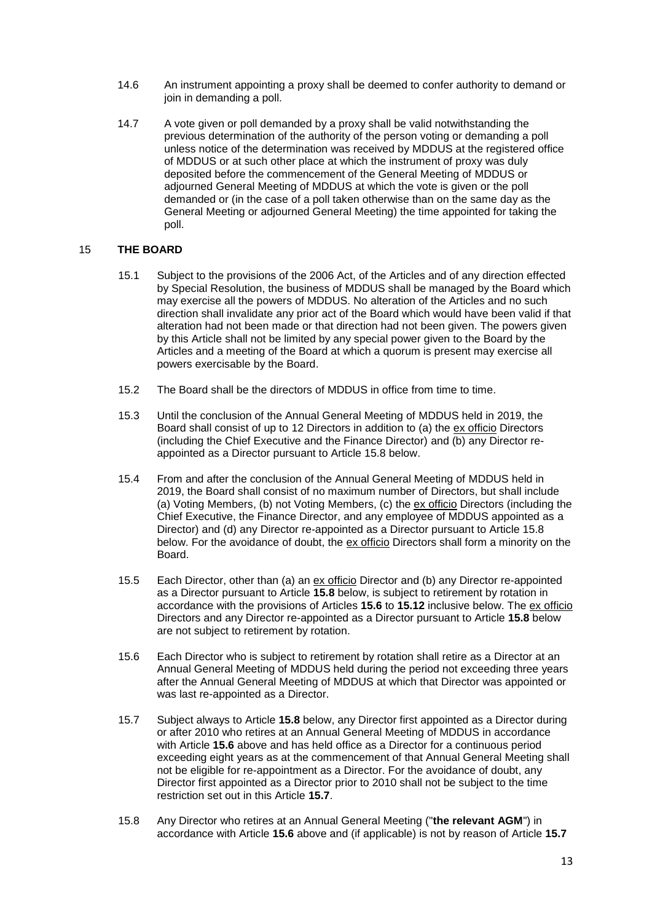- 14.6 An instrument appointing a proxy shall be deemed to confer authority to demand or join in demanding a poll.
- 14.7 A vote given or poll demanded by a proxy shall be valid notwithstanding the previous determination of the authority of the person voting or demanding a poll unless notice of the determination was received by MDDUS at the registered office of MDDUS or at such other place at which the instrument of proxy was duly deposited before the commencement of the General Meeting of MDDUS or adjourned General Meeting of MDDUS at which the vote is given or the poll demanded or (in the case of a poll taken otherwise than on the same day as the General Meeting or adjourned General Meeting) the time appointed for taking the poll.

#### 15 **THE BOARD**

- 15.1 Subject to the provisions of the 2006 Act, of the Articles and of any direction effected by Special Resolution, the business of MDDUS shall be managed by the Board which may exercise all the powers of MDDUS. No alteration of the Articles and no such direction shall invalidate any prior act of the Board which would have been valid if that alteration had not been made or that direction had not been given. The powers given by this Article shall not be limited by any special power given to the Board by the Articles and a meeting of the Board at which a quorum is present may exercise all powers exercisable by the Board.
- 15.2 The Board shall be the directors of MDDUS in office from time to time.
- 15.3 Until the conclusion of the Annual General Meeting of MDDUS held in 2019, the Board shall consist of up to 12 Directors in addition to (a) the ex officio Directors (including the Chief Executive and the Finance Director) and (b) any Director reappointed as a Director pursuant to Article [15.8](#page-12-0) below.
- 15.4 From and after the conclusion of the Annual General Meeting of MDDUS held in 2019, the Board shall consist of no maximum number of Directors, but shall include (a) Voting Members, (b) not Voting Members, (c) the ex officio Directors (including the Chief Executive, the Finance Director, and any employee of MDDUS appointed as a Director) and (d) any Director re-appointed as a Director pursuant to Article [15.8](#page-12-0) below. For the avoidance of doubt, the ex officio Directors shall form a minority on the Board.
- 15.5 Each Director, other than (a) an ex officio Director and (b) any Director re-appointed as a Director pursuant to Article **[15.8](#page-12-0)** below, is subject to retirement by rotation in accordance with the provisions of Articles **[15.6](#page-12-1)** to **[15.12](#page-13-0)** inclusive below. The ex officio Directors and any Director re-appointed as a Director pursuant to Article **[15.8](#page-12-0)** below are not subject to retirement by rotation.
- <span id="page-12-1"></span>15.6 Each Director who is subject to retirement by rotation shall retire as a Director at an Annual General Meeting of MDDUS held during the period not exceeding three years after the Annual General Meeting of MDDUS at which that Director was appointed or was last re-appointed as a Director.
- <span id="page-12-2"></span>15.7 Subject always to Article **15.8** below, any Director first appointed as a Director during or after 2010 who retires at an Annual General Meeting of MDDUS in accordance with Article **15.6** above and has held office as a Director for a continuous period exceeding eight years as at the commencement of that Annual General Meeting shall not be eligible for re-appointment as a Director. For the avoidance of doubt, any Director first appointed as a Director prior to 2010 shall not be subject to the time restriction set out in this Article **15.7**.
- <span id="page-12-0"></span>15.8 Any Director who retires at an Annual General Meeting ("**the relevant AGM**") in accordance with Article **[15.6](#page-12-1)** above and (if applicable) is not by reason of Article **[15.7](#page-12-2)**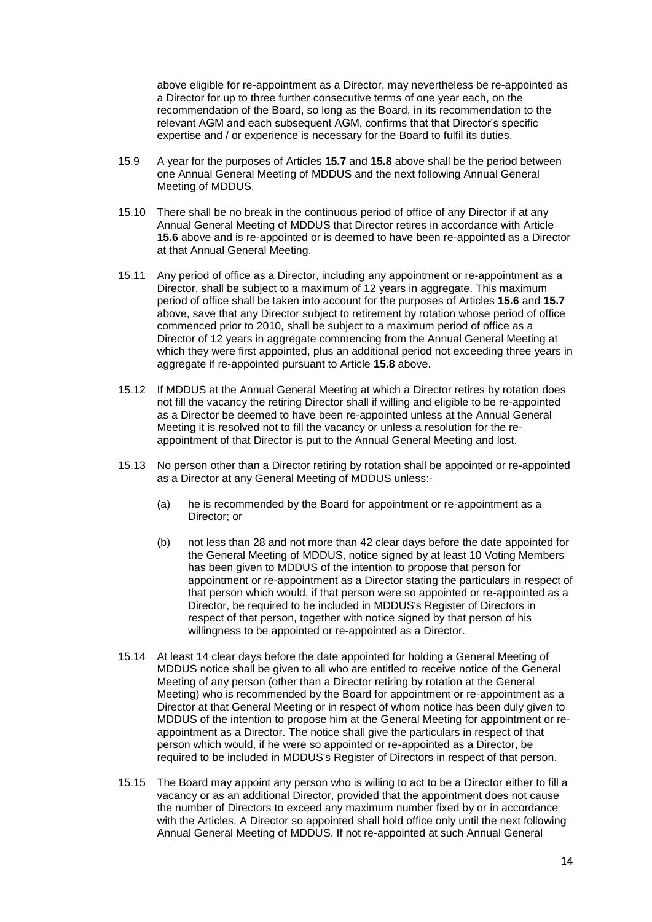above eligible for re-appointment as a Director, may nevertheless be re-appointed as a Director for up to three further consecutive terms of one year each, on the recommendation of the Board, so long as the Board, in its recommendation to the relevant AGM and each subsequent AGM, confirms that that Director's specific expertise and / or experience is necessary for the Board to fulfil its duties.

- 15.9 A year for the purposes of Articles **[15.7](#page-12-2)** and **[15.8](#page-12-0)** above shall be the period between one Annual General Meeting of MDDUS and the next following Annual General Meeting of MDDUS.
- 15.10 There shall be no break in the continuous period of office of any Director if at any Annual General Meeting of MDDUS that Director retires in accordance with Article **[15.6](#page-12-1)** above and is re-appointed or is deemed to have been re-appointed as a Director at that Annual General Meeting.
- 15.11 Any period of office as a Director, including any appointment or re-appointment as a Director, shall be subject to a maximum of 12 years in aggregate. This maximum period of office shall be taken into account for the purposes of Articles **[15.6](#page-12-1)** and **[15.7](#page-12-2)** above, save that any Director subject to retirement by rotation whose period of office commenced prior to 2010, shall be subject to a maximum period of office as a Director of 12 years in aggregate commencing from the Annual General Meeting at which they were first appointed, plus an additional period not exceeding three years in aggregate if re-appointed pursuant to Article **15.8** above.
- <span id="page-13-0"></span>15.12 If MDDUS at the Annual General Meeting at which a Director retires by rotation does not fill the vacancy the retiring Director shall if willing and eligible to be re-appointed as a Director be deemed to have been re-appointed unless at the Annual General Meeting it is resolved not to fill the vacancy or unless a resolution for the reappointment of that Director is put to the Annual General Meeting and lost.
- 15.13 No person other than a Director retiring by rotation shall be appointed or re-appointed as a Director at any General Meeting of MDDUS unless:-
	- (a) he is recommended by the Board for appointment or re-appointment as a Director; or
	- (b) not less than 28 and not more than 42 clear days before the date appointed for the General Meeting of MDDUS, notice signed by at least 10 Voting Members has been given to MDDUS of the intention to propose that person for appointment or re-appointment as a Director stating the particulars in respect of that person which would, if that person were so appointed or re-appointed as a Director, be required to be included in MDDUS's Register of Directors in respect of that person, together with notice signed by that person of his willingness to be appointed or re-appointed as a Director.
- 15.14 At least 14 clear days before the date appointed for holding a General Meeting of MDDUS notice shall be given to all who are entitled to receive notice of the General Meeting of any person (other than a Director retiring by rotation at the General Meeting) who is recommended by the Board for appointment or re-appointment as a Director at that General Meeting or in respect of whom notice has been duly given to MDDUS of the intention to propose him at the General Meeting for appointment or reappointment as a Director. The notice shall give the particulars in respect of that person which would, if he were so appointed or re-appointed as a Director, be required to be included in MDDUS's Register of Directors in respect of that person.
- 15.15 The Board may appoint any person who is willing to act to be a Director either to fill a vacancy or as an additional Director, provided that the appointment does not cause the number of Directors to exceed any maximum number fixed by or in accordance with the Articles. A Director so appointed shall hold office only until the next following Annual General Meeting of MDDUS. If not re-appointed at such Annual General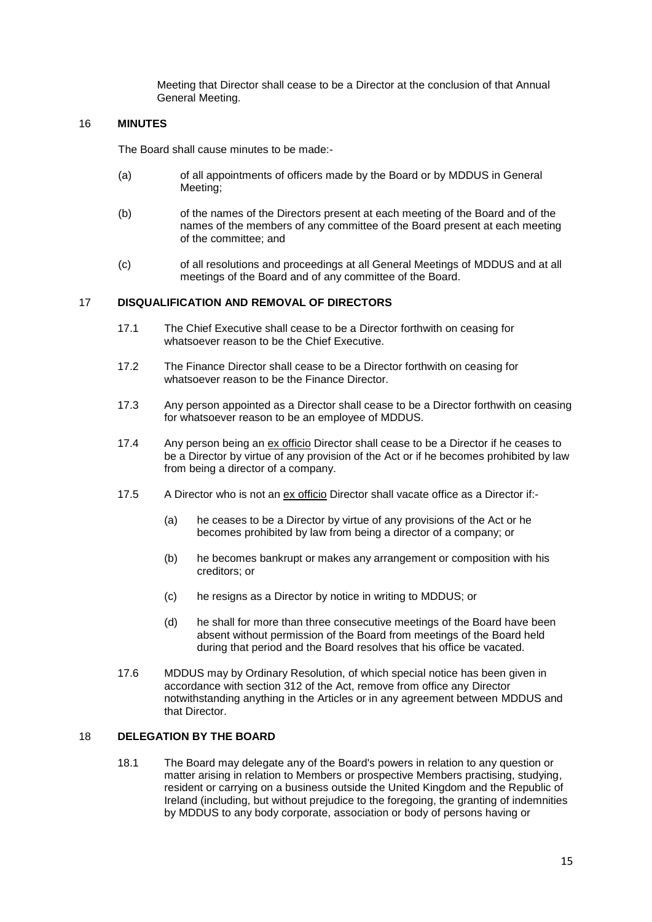Meeting that Director shall cease to be a Director at the conclusion of that Annual General Meeting.

#### 16 **MINUTES**

The Board shall cause minutes to be made:-

- (a) of all appointments of officers made by the Board or by MDDUS in General Meeting;
- (b) of the names of the Directors present at each meeting of the Board and of the names of the members of any committee of the Board present at each meeting of the committee; and
- (c) of all resolutions and proceedings at all General Meetings of MDDUS and at all meetings of the Board and of any committee of the Board.

#### 17 **DISQUALIFICATION AND REMOVAL OF DIRECTORS**

- 17.1 The Chief Executive shall cease to be a Director forthwith on ceasing for whatsoever reason to be the Chief Executive.
- 17.2 The Finance Director shall cease to be a Director forthwith on ceasing for whatsoever reason to be the Finance Director.
- 17.3 Any person appointed as a Director shall cease to be a Director forthwith on ceasing for whatsoever reason to be an employee of MDDUS.
- 17.4 Any person being an ex officio Director shall cease to be a Director if he ceases to be a Director by virtue of any provision of the Act or if he becomes prohibited by law from being a director of a company.
- 17.5 A Director who is not an ex officio Director shall vacate office as a Director if:-
	- (a) he ceases to be a Director by virtue of any provisions of the Act or he becomes prohibited by law from being a director of a company; or
	- (b) he becomes bankrupt or makes any arrangement or composition with his creditors; or
	- (c) he resigns as a Director by notice in writing to MDDUS; or
	- (d) he shall for more than three consecutive meetings of the Board have been absent without permission of the Board from meetings of the Board held during that period and the Board resolves that his office be vacated.
- 17.6 MDDUS may by Ordinary Resolution, of which special notice has been given in accordance with section 312 of the Act, remove from office any Director notwithstanding anything in the Articles or in any agreement between MDDUS and that Director.

# 18 **DELEGATION BY THE BOARD**

18.1 The Board may delegate any of the Board's powers in relation to any question or matter arising in relation to Members or prospective Members practising, studying, resident or carrying on a business outside the United Kingdom and the Republic of Ireland (including, but without prejudice to the foregoing, the granting of indemnities by MDDUS to any body corporate, association or body of persons having or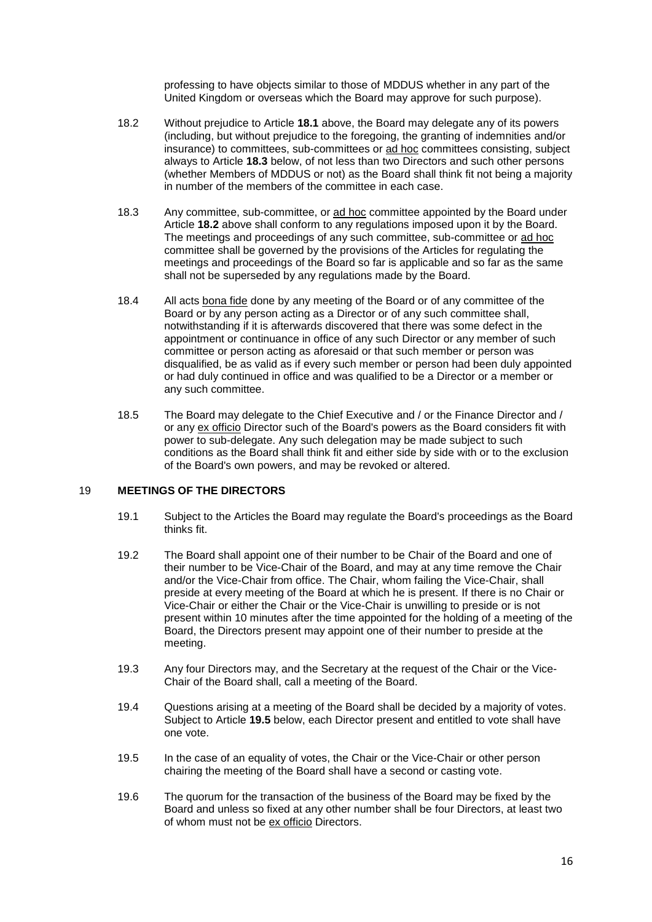professing to have objects similar to those of MDDUS whether in any part of the United Kingdom or overseas which the Board may approve for such purpose).

- 18.2 Without prejudice to Article **18.1** above, the Board may delegate any of its powers (including, but without prejudice to the foregoing, the granting of indemnities and/or insurance) to committees, sub-committees or ad hoc committees consisting, subject always to Article **18.3** below, of not less than two Directors and such other persons (whether Members of MDDUS or not) as the Board shall think fit not being a majority in number of the members of the committee in each case.
- 18.3 Any committee, sub-committee, or ad hoc committee appointed by the Board under Article **18.2** above shall conform to any regulations imposed upon it by the Board. The meetings and proceedings of any such committee, sub-committee or ad hoc committee shall be governed by the provisions of the Articles for regulating the meetings and proceedings of the Board so far is applicable and so far as the same shall not be superseded by any regulations made by the Board.
- 18.4 All acts bona fide done by any meeting of the Board or of any committee of the Board or by any person acting as a Director or of any such committee shall, notwithstanding if it is afterwards discovered that there was some defect in the appointment or continuance in office of any such Director or any member of such committee or person acting as aforesaid or that such member or person was disqualified, be as valid as if every such member or person had been duly appointed or had duly continued in office and was qualified to be a Director or a member or any such committee.
- 18.5 The Board may delegate to the Chief Executive and / or the Finance Director and / or any ex officio Director such of the Board's powers as the Board considers fit with power to sub-delegate. Any such delegation may be made subject to such conditions as the Board shall think fit and either side by side with or to the exclusion of the Board's own powers, and may be revoked or altered.

#### 19 **MEETINGS OF THE DIRECTORS**

- 19.1 Subject to the Articles the Board may regulate the Board's proceedings as the Board thinks fit.
- 19.2 The Board shall appoint one of their number to be Chair of the Board and one of their number to be Vice-Chair of the Board, and may at any time remove the Chair and/or the Vice-Chair from office. The Chair, whom failing the Vice-Chair, shall preside at every meeting of the Board at which he is present. If there is no Chair or Vice-Chair or either the Chair or the Vice-Chair is unwilling to preside or is not present within 10 minutes after the time appointed for the holding of a meeting of the Board, the Directors present may appoint one of their number to preside at the meeting.
- 19.3 Any four Directors may, and the Secretary at the request of the Chair or the Vice-Chair of the Board shall, call a meeting of the Board.
- 19.4 Questions arising at a meeting of the Board shall be decided by a majority of votes. Subject to Article **19.5** below, each Director present and entitled to vote shall have one vote.
- 19.5 In the case of an equality of votes, the Chair or the Vice-Chair or other person chairing the meeting of the Board shall have a second or casting vote.
- 19.6 The quorum for the transaction of the business of the Board may be fixed by the Board and unless so fixed at any other number shall be four Directors, at least two of whom must not be ex officio Directors.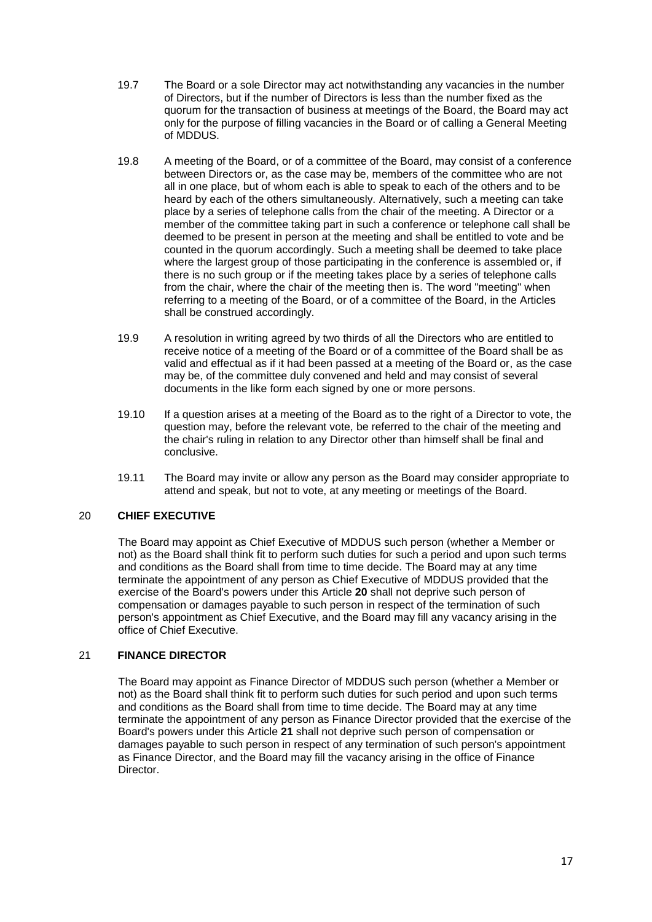- 19.7 The Board or a sole Director may act notwithstanding any vacancies in the number of Directors, but if the number of Directors is less than the number fixed as the quorum for the transaction of business at meetings of the Board, the Board may act only for the purpose of filling vacancies in the Board or of calling a General Meeting of MDDUS.
- 19.8 A meeting of the Board, or of a committee of the Board, may consist of a conference between Directors or, as the case may be, members of the committee who are not all in one place, but of whom each is able to speak to each of the others and to be heard by each of the others simultaneously. Alternatively, such a meeting can take place by a series of telephone calls from the chair of the meeting. A Director or a member of the committee taking part in such a conference or telephone call shall be deemed to be present in person at the meeting and shall be entitled to vote and be counted in the quorum accordingly. Such a meeting shall be deemed to take place where the largest group of those participating in the conference is assembled or, if there is no such group or if the meeting takes place by a series of telephone calls from the chair, where the chair of the meeting then is. The word "meeting" when referring to a meeting of the Board, or of a committee of the Board, in the Articles shall be construed accordingly.
- 19.9 A resolution in writing agreed by two thirds of all the Directors who are entitled to receive notice of a meeting of the Board or of a committee of the Board shall be as valid and effectual as if it had been passed at a meeting of the Board or, as the case may be, of the committee duly convened and held and may consist of several documents in the like form each signed by one or more persons.
- 19.10 If a question arises at a meeting of the Board as to the right of a Director to vote, the question may, before the relevant vote, be referred to the chair of the meeting and the chair's ruling in relation to any Director other than himself shall be final and conclusive.
- 19.11 The Board may invite or allow any person as the Board may consider appropriate to attend and speak, but not to vote, at any meeting or meetings of the Board.

# 20 **CHIEF EXECUTIVE**

The Board may appoint as Chief Executive of MDDUS such person (whether a Member or not) as the Board shall think fit to perform such duties for such a period and upon such terms and conditions as the Board shall from time to time decide. The Board may at any time terminate the appointment of any person as Chief Executive of MDDUS provided that the exercise of the Board's powers under this Article **20** shall not deprive such person of compensation or damages payable to such person in respect of the termination of such person's appointment as Chief Executive, and the Board may fill any vacancy arising in the office of Chief Executive.

# 21 **FINANCE DIRECTOR**

The Board may appoint as Finance Director of MDDUS such person (whether a Member or not) as the Board shall think fit to perform such duties for such period and upon such terms and conditions as the Board shall from time to time decide. The Board may at any time terminate the appointment of any person as Finance Director provided that the exercise of the Board's powers under this Article **21** shall not deprive such person of compensation or damages payable to such person in respect of any termination of such person's appointment as Finance Director, and the Board may fill the vacancy arising in the office of Finance **Director**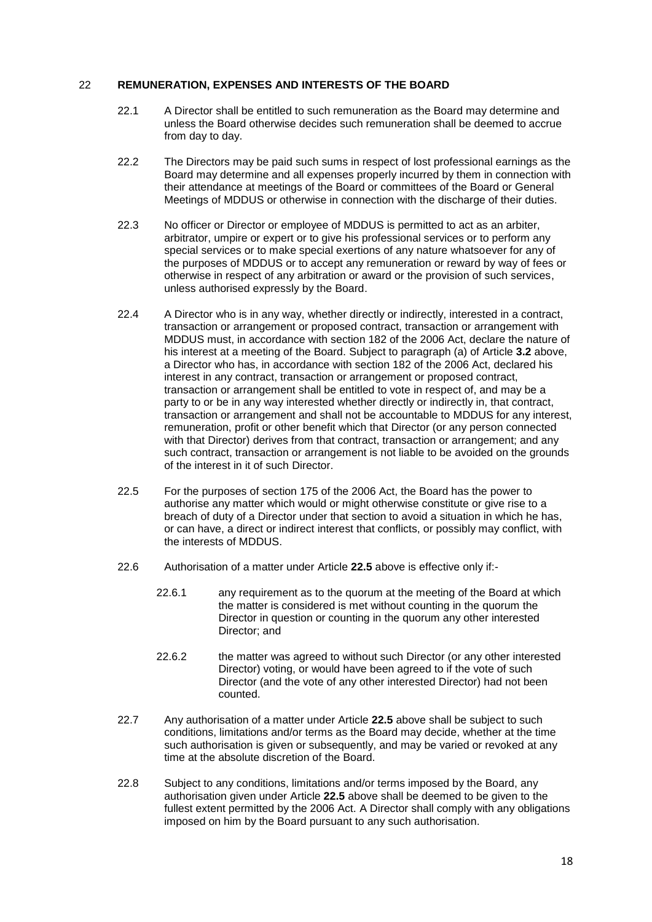#### 22 **REMUNERATION, EXPENSES AND INTERESTS OF THE BOARD**

- 22.1 A Director shall be entitled to such remuneration as the Board may determine and unless the Board otherwise decides such remuneration shall be deemed to accrue from day to day.
- 22.2 The Directors may be paid such sums in respect of lost professional earnings as the Board may determine and all expenses properly incurred by them in connection with their attendance at meetings of the Board or committees of the Board or General Meetings of MDDUS or otherwise in connection with the discharge of their duties.
- 22.3 No officer or Director or employee of MDDUS is permitted to act as an arbiter, arbitrator, umpire or expert or to give his professional services or to perform any special services or to make special exertions of any nature whatsoever for any of the purposes of MDDUS or to accept any remuneration or reward by way of fees or otherwise in respect of any arbitration or award or the provision of such services, unless authorised expressly by the Board.
- 22.4 A Director who is in any way, whether directly or indirectly, interested in a contract, transaction or arrangement or proposed contract, transaction or arrangement with MDDUS must, in accordance with section 182 of the 2006 Act, declare the nature of his interest at a meeting of the Board. Subject to paragraph (a) of Article **3.2** above, a Director who has, in accordance with section 182 of the 2006 Act, declared his interest in any contract, transaction or arrangement or proposed contract, transaction or arrangement shall be entitled to vote in respect of, and may be a party to or be in any way interested whether directly or indirectly in, that contract, transaction or arrangement and shall not be accountable to MDDUS for any interest, remuneration, profit or other benefit which that Director (or any person connected with that Director) derives from that contract, transaction or arrangement; and any such contract, transaction or arrangement is not liable to be avoided on the grounds of the interest in it of such Director.
- 22.5 For the purposes of section 175 of the 2006 Act, the Board has the power to authorise any matter which would or might otherwise constitute or give rise to a breach of duty of a Director under that section to avoid a situation in which he has, or can have, a direct or indirect interest that conflicts, or possibly may conflict, with the interests of MDDUS.
- 22.6 Authorisation of a matter under Article **22.5** above is effective only if:-
	- 22.6.1 any requirement as to the quorum at the meeting of the Board at which the matter is considered is met without counting in the quorum the Director in question or counting in the quorum any other interested Director; and
	- 22.6.2 the matter was agreed to without such Director (or any other interested Director) voting, or would have been agreed to if the vote of such Director (and the vote of any other interested Director) had not been counted.
- 22.7 Any authorisation of a matter under Article **22.5** above shall be subject to such conditions, limitations and/or terms as the Board may decide, whether at the time such authorisation is given or subsequently, and may be varied or revoked at any time at the absolute discretion of the Board.
- 22.8 Subject to any conditions, limitations and/or terms imposed by the Board, any authorisation given under Article **22.5** above shall be deemed to be given to the fullest extent permitted by the 2006 Act. A Director shall comply with any obligations imposed on him by the Board pursuant to any such authorisation.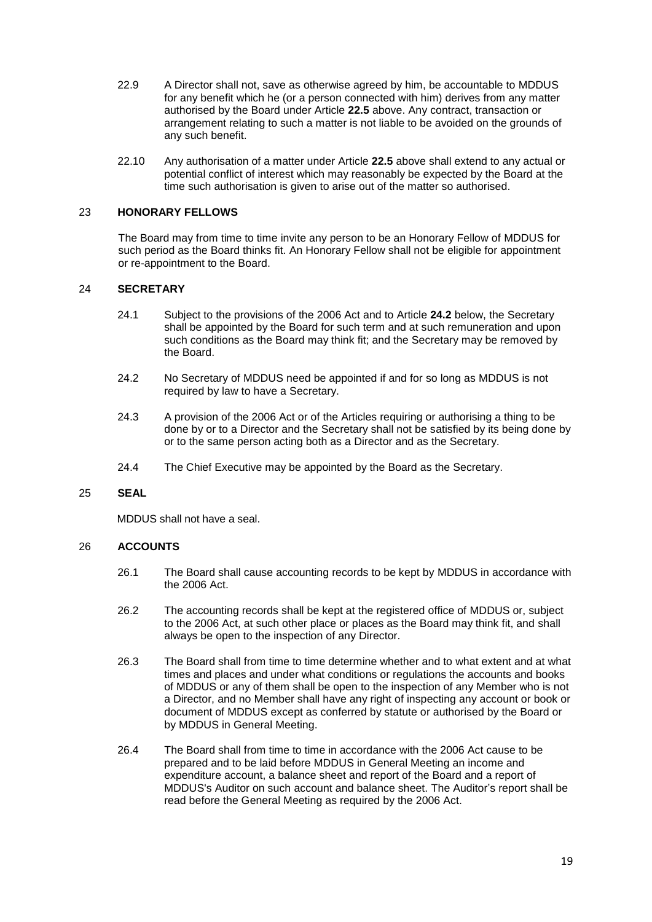- 22.9 A Director shall not, save as otherwise agreed by him, be accountable to MDDUS for any benefit which he (or a person connected with him) derives from any matter authorised by the Board under Article **22.5** above. Any contract, transaction or arrangement relating to such a matter is not liable to be avoided on the grounds of any such benefit.
- 22.10 Any authorisation of a matter under Article **22.5** above shall extend to any actual or potential conflict of interest which may reasonably be expected by the Board at the time such authorisation is given to arise out of the matter so authorised.

## 23 **HONORARY FELLOWS**

The Board may from time to time invite any person to be an Honorary Fellow of MDDUS for such period as the Board thinks fit. An Honorary Fellow shall not be eligible for appointment or re-appointment to the Board.

## 24 **SECRETARY**

- 24.1 Subject to the provisions of the 2006 Act and to Article **[24.2](#page-18-0)** below, the Secretary shall be appointed by the Board for such term and at such remuneration and upon such conditions as the Board may think fit; and the Secretary may be removed by the Board.
- <span id="page-18-0"></span>24.2 No Secretary of MDDUS need be appointed if and for so long as MDDUS is not required by law to have a Secretary.
- 24.3 A provision of the 2006 Act or of the Articles requiring or authorising a thing to be done by or to a Director and the Secretary shall not be satisfied by its being done by or to the same person acting both as a Director and as the Secretary.
- 24.4 The Chief Executive may be appointed by the Board as the Secretary.

# 25 **SEAL**

MDDUS shall not have a seal.

# 26 **ACCOUNTS**

- 26.1 The Board shall cause accounting records to be kept by MDDUS in accordance with the 2006 Act.
- 26.2 The accounting records shall be kept at the registered office of MDDUS or, subject to the 2006 Act, at such other place or places as the Board may think fit, and shall always be open to the inspection of any Director.
- 26.3 The Board shall from time to time determine whether and to what extent and at what times and places and under what conditions or regulations the accounts and books of MDDUS or any of them shall be open to the inspection of any Member who is not a Director, and no Member shall have any right of inspecting any account or book or document of MDDUS except as conferred by statute or authorised by the Board or by MDDUS in General Meeting.
- 26.4 The Board shall from time to time in accordance with the 2006 Act cause to be prepared and to be laid before MDDUS in General Meeting an income and expenditure account, a balance sheet and report of the Board and a report of MDDUS's Auditor on such account and balance sheet. The Auditor's report shall be read before the General Meeting as required by the 2006 Act.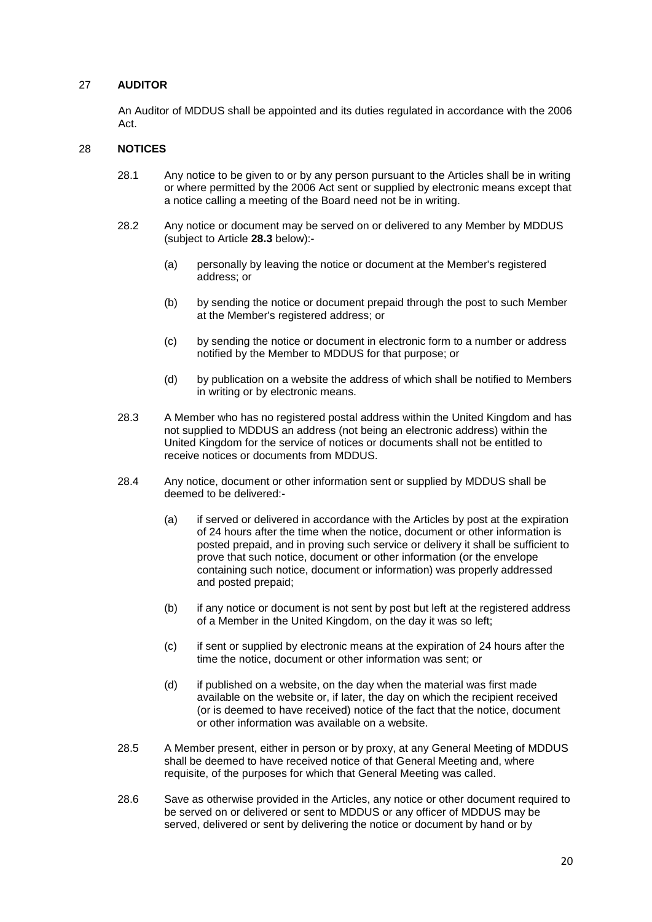## 27 **AUDITOR**

An Auditor of MDDUS shall be appointed and its duties regulated in accordance with the 2006 Act.

#### 28 **NOTICES**

- 28.1 Any notice to be given to or by any person pursuant to the Articles shall be in writing or where permitted by the 2006 Act sent or supplied by electronic means except that a notice calling a meeting of the Board need not be in writing.
- 28.2 Any notice or document may be served on or delivered to any Member by MDDUS (subject to Article **28.3** below):-
	- (a) personally by leaving the notice or document at the Member's registered address; or
	- (b) by sending the notice or document prepaid through the post to such Member at the Member's registered address; or
	- (c) by sending the notice or document in electronic form to a number or address notified by the Member to MDDUS for that purpose; or
	- (d) by publication on a website the address of which shall be notified to Members in writing or by electronic means.
- 28.3 A Member who has no registered postal address within the United Kingdom and has not supplied to MDDUS an address (not being an electronic address) within the United Kingdom for the service of notices or documents shall not be entitled to receive notices or documents from MDDUS.
- 28.4 Any notice, document or other information sent or supplied by MDDUS shall be deemed to be delivered:-
	- (a) if served or delivered in accordance with the Articles by post at the expiration of 24 hours after the time when the notice, document or other information is posted prepaid, and in proving such service or delivery it shall be sufficient to prove that such notice, document or other information (or the envelope containing such notice, document or information) was properly addressed and posted prepaid;
	- (b) if any notice or document is not sent by post but left at the registered address of a Member in the United Kingdom, on the day it was so left;
	- (c) if sent or supplied by electronic means at the expiration of 24 hours after the time the notice, document or other information was sent; or
	- (d) if published on a website, on the day when the material was first made available on the website or, if later, the day on which the recipient received (or is deemed to have received) notice of the fact that the notice, document or other information was available on a website.
- 28.5 A Member present, either in person or by proxy, at any General Meeting of MDDUS shall be deemed to have received notice of that General Meeting and, where requisite, of the purposes for which that General Meeting was called.
- 28.6 Save as otherwise provided in the Articles, any notice or other document required to be served on or delivered or sent to MDDUS or any officer of MDDUS may be served, delivered or sent by delivering the notice or document by hand or by